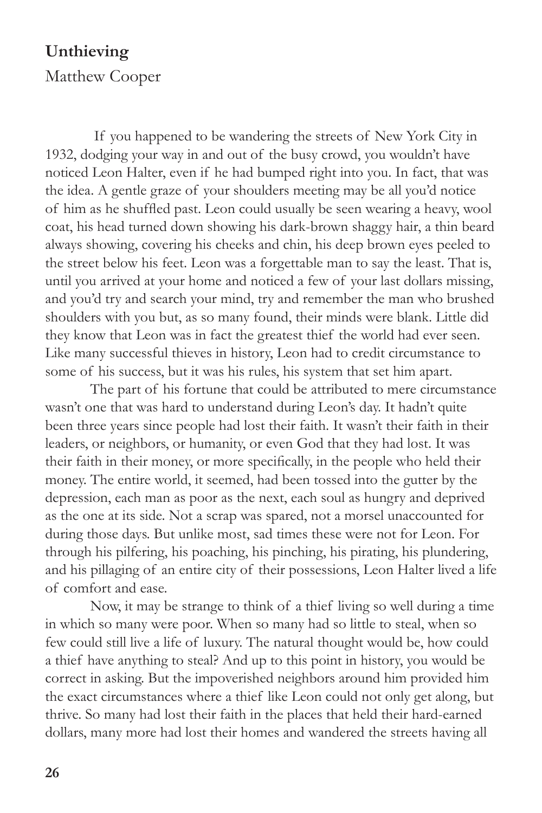## **Unthieving**

Matthew Cooper

 If you happened to be wandering the streets of New York City in 1932, dodging your way in and out of the busy crowd, you wouldn't have noticed Leon Halter, even if he had bumped right into you. In fact, that was the idea. A gentle graze of your shoulders meeting may be all you'd notice of him as he shuffled past. Leon could usually be seen wearing a heavy, wool coat, his head turned down showing his dark-brown shaggy hair, a thin beard always showing, covering his cheeks and chin, his deep brown eyes peeled to the street below his feet. Leon was a forgettable man to say the least. That is, until you arrived at your home and noticed a few of your last dollars missing, and you'd try and search your mind, try and remember the man who brushed shoulders with you but, as so many found, their minds were blank. Little did they know that Leon was in fact the greatest thief the world had ever seen. Like many successful thieves in history, Leon had to credit circumstance to some of his success, but it was his rules, his system that set him apart.

The part of his fortune that could be attributed to mere circumstance wasn't one that was hard to understand during Leon's day. It hadn't quite been three years since people had lost their faith. It wasn't their faith in their leaders, or neighbors, or humanity, or even God that they had lost. It was their faith in their money, or more specifically, in the people who held their money. The entire world, it seemed, had been tossed into the gutter by the depression, each man as poor as the next, each soul as hungry and deprived as the one at its side. Not a scrap was spared, not a morsel unaccounted for during those days. But unlike most, sad times these were not for Leon. For through his pilfering, his poaching, his pinching, his pirating, his plundering, and his pillaging of an entire city of their possessions, Leon Halter lived a life of comfort and ease.

Now, it may be strange to think of a thief living so well during a time in which so many were poor. When so many had so little to steal, when so few could still live a life of luxury. The natural thought would be, how could a thief have anything to steal? And up to this point in history, you would be correct in asking. But the impoverished neighbors around him provided him the exact circumstances where a thief like Leon could not only get along, but thrive. So many had lost their faith in the places that held their hard-earned dollars, many more had lost their homes and wandered the streets having all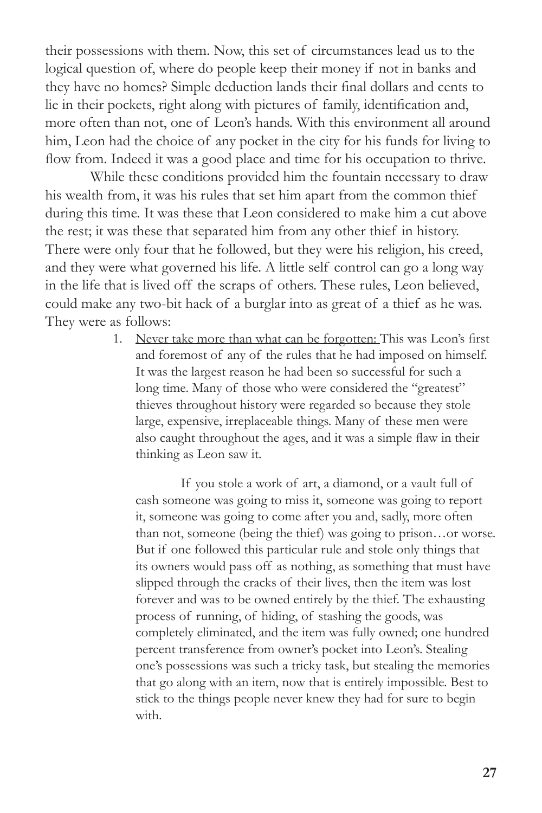their possessions with them. Now, this set of circumstances lead us to the logical question of, where do people keep their money if not in banks and they have no homes? Simple deduction lands their final dollars and cents to lie in their pockets, right along with pictures of family, identification and, more often than not, one of Leon's hands. With this environment all around him, Leon had the choice of any pocket in the city for his funds for living to flow from. Indeed it was a good place and time for his occupation to thrive.

While these conditions provided him the fountain necessary to draw his wealth from, it was his rules that set him apart from the common thief during this time. It was these that Leon considered to make him a cut above the rest; it was these that separated him from any other thief in history. There were only four that he followed, but they were his religion, his creed, and they were what governed his life. A little self control can go a long way in the life that is lived off the scraps of others. These rules, Leon believed, could make any two-bit hack of a burglar into as great of a thief as he was. They were as follows:

> 1. Never take more than what can be forgotten: This was Leon's first and foremost of any of the rules that he had imposed on himself. It was the largest reason he had been so successful for such a long time. Many of those who were considered the "greatest" thieves throughout history were regarded so because they stole large, expensive, irreplaceable things. Many of these men were also caught throughout the ages, and it was a simple flaw in their thinking as Leon saw it.

If you stole a work of art, a diamond, or a vault full of cash someone was going to miss it, someone was going to report it, someone was going to come after you and, sadly, more often than not, someone (being the thief) was going to prison…or worse. But if one followed this particular rule and stole only things that its owners would pass off as nothing, as something that must have slipped through the cracks of their lives, then the item was lost forever and was to be owned entirely by the thief. The exhausting process of running, of hiding, of stashing the goods, was completely eliminated, and the item was fully owned; one hundred percent transference from owner's pocket into Leon's. Stealing one's possessions was such a tricky task, but stealing the memories that go along with an item, now that is entirely impossible. Best to stick to the things people never knew they had for sure to begin with.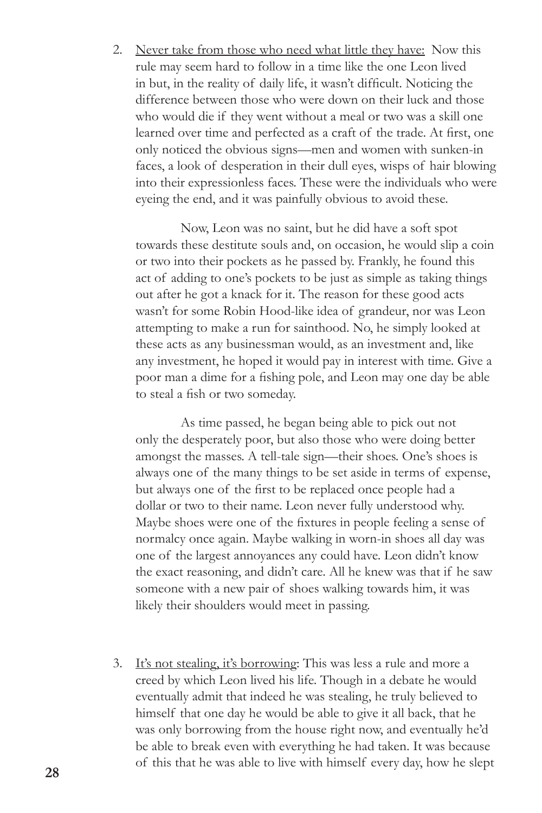2. Never take from those who need what little they have: Now this rule may seem hard to follow in a time like the one Leon lived in but, in the reality of daily life, it wasn't difficult. Noticing the difference between those who were down on their luck and those who would die if they went without a meal or two was a skill one learned over time and perfected as a craft of the trade. At first, one only noticed the obvious signs—men and women with sunken-in faces, a look of desperation in their dull eyes, wisps of hair blowing into their expressionless faces. These were the individuals who were eyeing the end, and it was painfully obvious to avoid these.

Now, Leon was no saint, but he did have a soft spot towards these destitute souls and, on occasion, he would slip a coin or two into their pockets as he passed by. Frankly, he found this act of adding to one's pockets to be just as simple as taking things out after he got a knack for it. The reason for these good acts wasn't for some Robin Hood-like idea of grandeur, nor was Leon attempting to make a run for sainthood. No, he simply looked at these acts as any businessman would, as an investment and, like any investment, he hoped it would pay in interest with time. Give a poor man a dime for a fishing pole, and Leon may one day be able to steal a fish or two someday.

As time passed, he began being able to pick out not only the desperately poor, but also those who were doing better amongst the masses. A tell-tale sign—their shoes. One's shoes is always one of the many things to be set aside in terms of expense, but always one of the first to be replaced once people had a dollar or two to their name. Leon never fully understood why. Maybe shoes were one of the fixtures in people feeling a sense of normalcy once again. Maybe walking in worn-in shoes all day was one of the largest annoyances any could have. Leon didn't know the exact reasoning, and didn't care. All he knew was that if he saw someone with a new pair of shoes walking towards him, it was likely their shoulders would meet in passing.

3. It's not stealing, it's borrowing: This was less a rule and more a creed by which Leon lived his life. Though in a debate he would eventually admit that indeed he was stealing, he truly believed to himself that one day he would be able to give it all back, that he was only borrowing from the house right now, and eventually he'd be able to break even with everything he had taken. It was because of this that he was able to live with himself every day, how he slept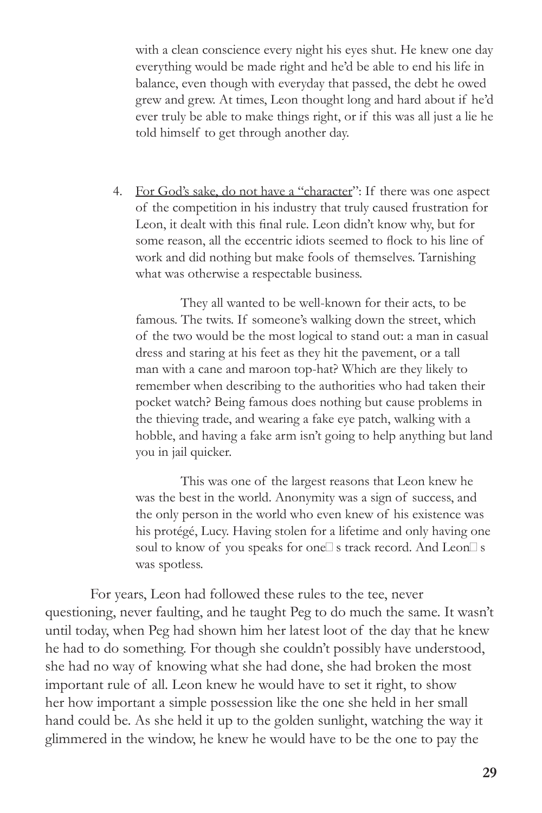with a clean conscience every night his eyes shut. He knew one day everything would be made right and he'd be able to end his life in balance, even though with everyday that passed, the debt he owed grew and grew. At times, Leon thought long and hard about if he'd ever truly be able to make things right, or if this was all just a lie he told himself to get through another day.

4. For God's sake, do not have a "character": If there was one aspect of the competition in his industry that truly caused frustration for Leon, it dealt with this final rule. Leon didn't know why, but for some reason, all the eccentric idiots seemed to flock to his line of work and did nothing but make fools of themselves. Tarnishing what was otherwise a respectable business.

They all wanted to be well-known for their acts, to be famous. The twits. If someone's walking down the street, which of the two would be the most logical to stand out: a man in casual dress and staring at his feet as they hit the pavement, or a tall man with a cane and maroon top-hat? Which are they likely to remember when describing to the authorities who had taken their pocket watch? Being famous does nothing but cause problems in the thieving trade, and wearing a fake eye patch, walking with a hobble, and having a fake arm isn't going to help anything but land you in jail quicker.

This was one of the largest reasons that Leon knew he was the best in the world. Anonymity was a sign of success, and the only person in the world who even knew of his existence was his protégé, Lucy. Having stolen for a lifetime and only having one soul to know of you speaks for one $\square$  s track record. And Leon $\square$  s was spotless.

For years, Leon had followed these rules to the tee, never questioning, never faulting, and he taught Peg to do much the same. It wasn't until today, when Peg had shown him her latest loot of the day that he knew he had to do something. For though she couldn't possibly have understood, she had no way of knowing what she had done, she had broken the most important rule of all. Leon knew he would have to set it right, to show her how important a simple possession like the one she held in her small hand could be. As she held it up to the golden sunlight, watching the way it glimmered in the window, he knew he would have to be the one to pay the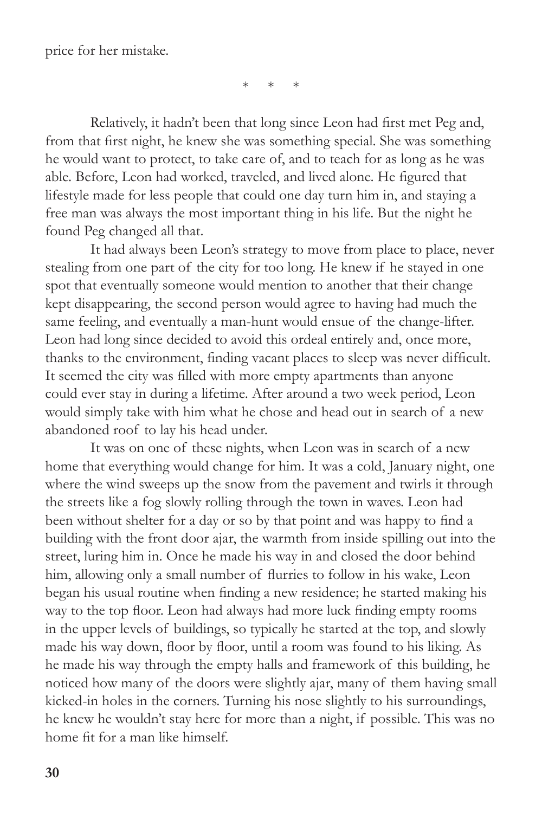price for her mistake.

\* \* \*

Relatively, it hadn't been that long since Leon had first met Peg and, from that first night, he knew she was something special. She was something he would want to protect, to take care of, and to teach for as long as he was able. Before, Leon had worked, traveled, and lived alone. He figured that lifestyle made for less people that could one day turn him in, and staying a free man was always the most important thing in his life. But the night he found Peg changed all that.

It had always been Leon's strategy to move from place to place, never stealing from one part of the city for too long. He knew if he stayed in one spot that eventually someone would mention to another that their change kept disappearing, the second person would agree to having had much the same feeling, and eventually a man-hunt would ensue of the change-lifter. Leon had long since decided to avoid this ordeal entirely and, once more, thanks to the environment, finding vacant places to sleep was never difficult. It seemed the city was filled with more empty apartments than anyone could ever stay in during a lifetime. After around a two week period, Leon would simply take with him what he chose and head out in search of a new abandoned roof to lay his head under.

It was on one of these nights, when Leon was in search of a new home that everything would change for him. It was a cold, January night, one where the wind sweeps up the snow from the pavement and twirls it through the streets like a fog slowly rolling through the town in waves. Leon had been without shelter for a day or so by that point and was happy to find a building with the front door ajar, the warmth from inside spilling out into the street, luring him in. Once he made his way in and closed the door behind him, allowing only a small number of flurries to follow in his wake, Leon began his usual routine when finding a new residence; he started making his way to the top floor. Leon had always had more luck finding empty rooms in the upper levels of buildings, so typically he started at the top, and slowly made his way down, floor by floor, until a room was found to his liking. As he made his way through the empty halls and framework of this building, he noticed how many of the doors were slightly ajar, many of them having small kicked-in holes in the corners. Turning his nose slightly to his surroundings, he knew he wouldn't stay here for more than a night, if possible. This was no home fit for a man like himself.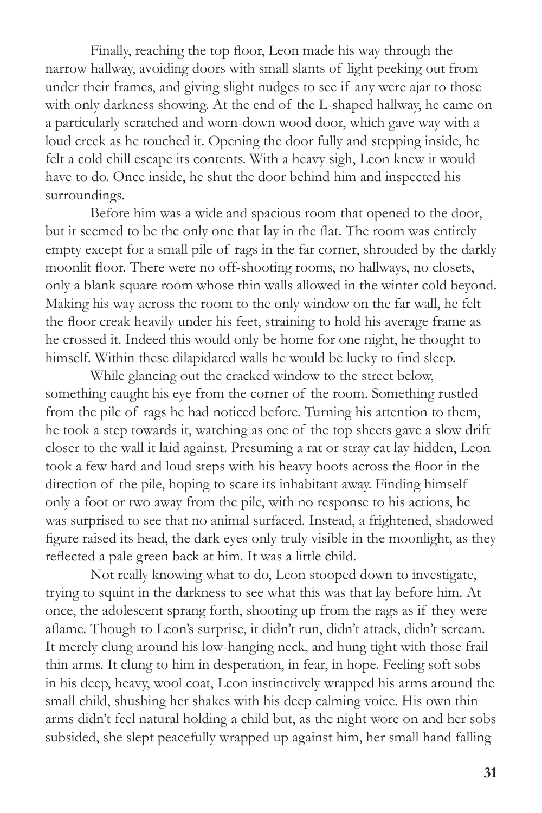Finally, reaching the top floor, Leon made his way through the narrow hallway, avoiding doors with small slants of light peeking out from under their frames, and giving slight nudges to see if any were ajar to those with only darkness showing. At the end of the L-shaped hallway, he came on a particularly scratched and worn-down wood door, which gave way with a loud creek as he touched it. Opening the door fully and stepping inside, he felt a cold chill escape its contents. With a heavy sigh, Leon knew it would have to do. Once inside, he shut the door behind him and inspected his surroundings.

Before him was a wide and spacious room that opened to the door, but it seemed to be the only one that lay in the flat. The room was entirely empty except for a small pile of rags in the far corner, shrouded by the darkly moonlit floor. There were no off-shooting rooms, no hallways, no closets, only a blank square room whose thin walls allowed in the winter cold beyond. Making his way across the room to the only window on the far wall, he felt the floor creak heavily under his feet, straining to hold his average frame as he crossed it. Indeed this would only be home for one night, he thought to himself. Within these dilapidated walls he would be lucky to find sleep.

While glancing out the cracked window to the street below, something caught his eye from the corner of the room. Something rustled from the pile of rags he had noticed before. Turning his attention to them, he took a step towards it, watching as one of the top sheets gave a slow drift closer to the wall it laid against. Presuming a rat or stray cat lay hidden, Leon took a few hard and loud steps with his heavy boots across the floor in the direction of the pile, hoping to scare its inhabitant away. Finding himself only a foot or two away from the pile, with no response to his actions, he was surprised to see that no animal surfaced. Instead, a frightened, shadowed figure raised its head, the dark eyes only truly visible in the moonlight, as they reflected a pale green back at him. It was a little child.

Not really knowing what to do, Leon stooped down to investigate, trying to squint in the darkness to see what this was that lay before him. At once, the adolescent sprang forth, shooting up from the rags as if they were aflame. Though to Leon's surprise, it didn't run, didn't attack, didn't scream. It merely clung around his low-hanging neck, and hung tight with those frail thin arms. It clung to him in desperation, in fear, in hope. Feeling soft sobs in his deep, heavy, wool coat, Leon instinctively wrapped his arms around the small child, shushing her shakes with his deep calming voice. His own thin arms didn't feel natural holding a child but, as the night wore on and her sobs subsided, she slept peacefully wrapped up against him, her small hand falling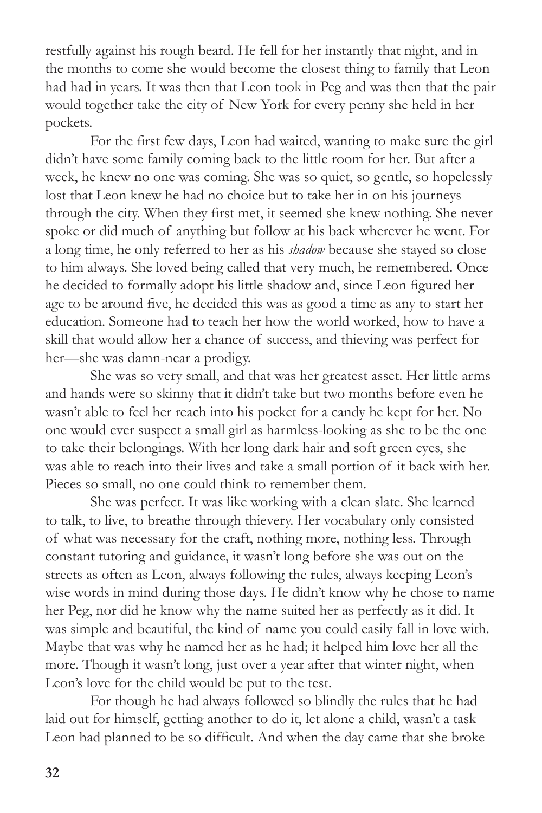restfully against his rough beard. He fell for her instantly that night, and in the months to come she would become the closest thing to family that Leon had had in years. It was then that Leon took in Peg and was then that the pair would together take the city of New York for every penny she held in her pockets.

For the first few days, Leon had waited, wanting to make sure the girl didn't have some family coming back to the little room for her. But after a week, he knew no one was coming. She was so quiet, so gentle, so hopelessly lost that Leon knew he had no choice but to take her in on his journeys through the city. When they first met, it seemed she knew nothing. She never spoke or did much of anything but follow at his back wherever he went. For a long time, he only referred to her as his *shadow* because she stayed so close to him always. She loved being called that very much, he remembered. Once he decided to formally adopt his little shadow and, since Leon figured her age to be around five, he decided this was as good a time as any to start her education. Someone had to teach her how the world worked, how to have a skill that would allow her a chance of success, and thieving was perfect for her—she was damn-near a prodigy.

She was so very small, and that was her greatest asset. Her little arms and hands were so skinny that it didn't take but two months before even he wasn't able to feel her reach into his pocket for a candy he kept for her. No one would ever suspect a small girl as harmless-looking as she to be the one to take their belongings. With her long dark hair and soft green eyes, she was able to reach into their lives and take a small portion of it back with her. Pieces so small, no one could think to remember them.

She was perfect. It was like working with a clean slate. She learned to talk, to live, to breathe through thievery. Her vocabulary only consisted of what was necessary for the craft, nothing more, nothing less. Through constant tutoring and guidance, it wasn't long before she was out on the streets as often as Leon, always following the rules, always keeping Leon's wise words in mind during those days. He didn't know why he chose to name her Peg, nor did he know why the name suited her as perfectly as it did. It was simple and beautiful, the kind of name you could easily fall in love with. Maybe that was why he named her as he had; it helped him love her all the more. Though it wasn't long, just over a year after that winter night, when Leon's love for the child would be put to the test.

For though he had always followed so blindly the rules that he had laid out for himself, getting another to do it, let alone a child, wasn't a task Leon had planned to be so difficult. And when the day came that she broke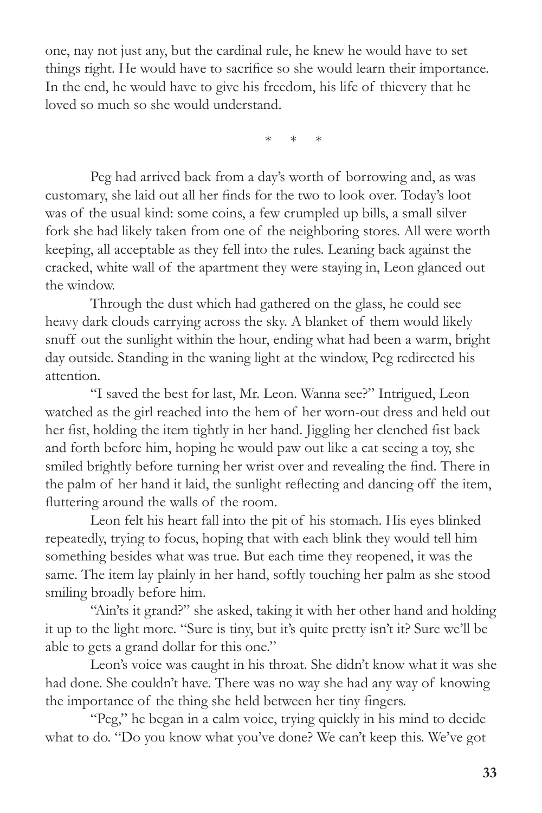one, nay not just any, but the cardinal rule, he knew he would have to set things right. He would have to sacrifice so she would learn their importance. In the end, he would have to give his freedom, his life of thievery that he loved so much so she would understand.

\* \* \*

Peg had arrived back from a day's worth of borrowing and, as was customary, she laid out all her finds for the two to look over. Today's loot was of the usual kind: some coins, a few crumpled up bills, a small silver fork she had likely taken from one of the neighboring stores. All were worth keeping, all acceptable as they fell into the rules. Leaning back against the cracked, white wall of the apartment they were staying in, Leon glanced out the window.

Through the dust which had gathered on the glass, he could see heavy dark clouds carrying across the sky. A blanket of them would likely snuff out the sunlight within the hour, ending what had been a warm, bright day outside. Standing in the waning light at the window, Peg redirected his attention.

"I saved the best for last, Mr. Leon. Wanna see?" Intrigued, Leon watched as the girl reached into the hem of her worn-out dress and held out her fist, holding the item tightly in her hand. Jiggling her clenched fist back and forth before him, hoping he would paw out like a cat seeing a toy, she smiled brightly before turning her wrist over and revealing the find. There in the palm of her hand it laid, the sunlight reflecting and dancing off the item, fluttering around the walls of the room.

Leon felt his heart fall into the pit of his stomach. His eyes blinked repeatedly, trying to focus, hoping that with each blink they would tell him something besides what was true. But each time they reopened, it was the same. The item lay plainly in her hand, softly touching her palm as she stood smiling broadly before him.

"Ain'ts it grand?" she asked, taking it with her other hand and holding it up to the light more. "Sure is tiny, but it's quite pretty isn't it? Sure we'll be able to gets a grand dollar for this one."

Leon's voice was caught in his throat. She didn't know what it was she had done. She couldn't have. There was no way she had any way of knowing the importance of the thing she held between her tiny fingers.

"Peg," he began in a calm voice, trying quickly in his mind to decide what to do. "Do you know what you've done? We can't keep this. We've got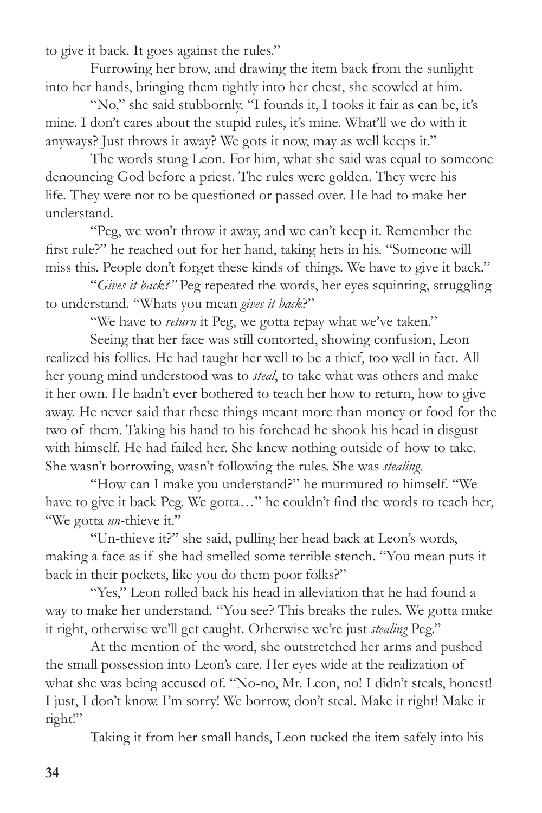to give it back. It goes against the rules."

Furrowing her brow, and drawing the item back from the sunlight into her hands, bringing them tightly into her chest, she scowled at him.

"No," she said stubbornly. "I founds it, I tooks it fair as can be, it's mine. I don't cares about the stupid rules, it's mine. What'll we do with it anyways? Just throws it away? We gots it now, may as well keeps it."

The words stung Leon. For him, what she said was equal to someone denouncing God before a priest. The rules were golden. They were his life. They were not to be questioned or passed over. He had to make her understand.

"Peg, we won't throw it away, and we can't keep it. Remember the first rule?" he reached out for her hand, taking hers in his. "Someone will miss this. People don't forget these kinds of things. We have to give it back."

"*Gives it back?"* Peg repeated the words, her eyes squinting, struggling to understand. "Whats you mean *gives it back*?"

"We have to *return* it Peg, we gotta repay what we've taken."

Seeing that her face was still contorted, showing confusion, Leon realized his follies. He had taught her well to be a thief, too well in fact. All her young mind understood was to *steal*, to take what was others and make it her own. He hadn't ever bothered to teach her how to return, how to give away. He never said that these things meant more than money or food for the two of them. Taking his hand to his forehead he shook his head in disgust with himself. He had failed her. She knew nothing outside of how to take. She wasn't borrowing, wasn't following the rules. She was *stealing*.

"How can I make you understand?" he murmured to himself. "We have to give it back Peg. We gotta..." he couldn't find the words to teach her, "We gotta *un*-thieve it."

"Un-thieve it?" she said, pulling her head back at Leon's words, making a face as if she had smelled some terrible stench. "You mean puts it back in their pockets, like you do them poor folks?"

"Yes," Leon rolled back his head in alleviation that he had found a way to make her understand. "You see? This breaks the rules. We gotta make it right, otherwise we'll get caught. Otherwise we're just *stealing* Peg."

At the mention of the word, she outstretched her arms and pushed the small possession into Leon's care. Her eyes wide at the realization of what she was being accused of. "No-no, Mr. Leon, no! I didn't steals, honest! I just, I don't know. I'm sorry! We borrow, don't steal. Make it right! Make it right!"

Taking it from her small hands, Leon tucked the item safely into his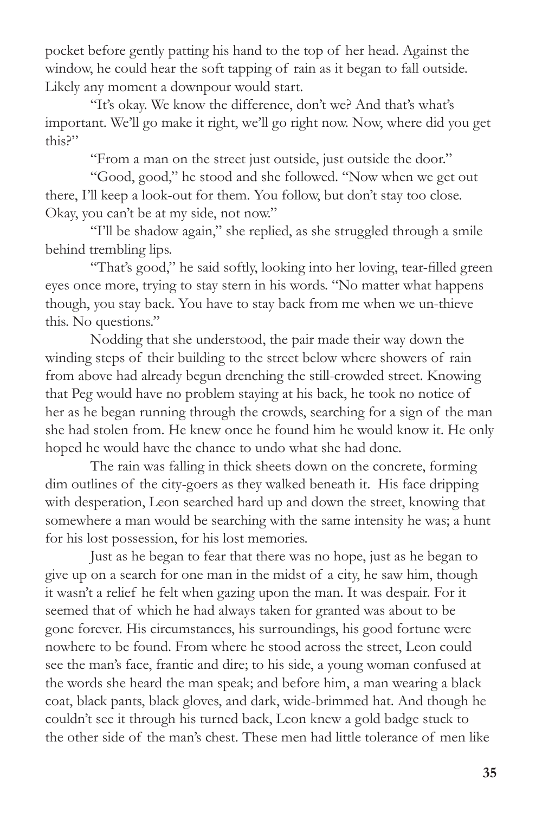pocket before gently patting his hand to the top of her head. Against the window, he could hear the soft tapping of rain as it began to fall outside. Likely any moment a downpour would start.

"It's okay. We know the difference, don't we? And that's what's important. We'll go make it right, we'll go right now. Now, where did you get this?"

"From a man on the street just outside, just outside the door."

"Good, good," he stood and she followed. "Now when we get out there, I'll keep a look-out for them. You follow, but don't stay too close. Okay, you can't be at my side, not now."

"I'll be shadow again," she replied, as she struggled through a smile behind trembling lips.

"That's good," he said softly, looking into her loving, tear-filled green eyes once more, trying to stay stern in his words. "No matter what happens though, you stay back. You have to stay back from me when we un-thieve this. No questions."

Nodding that she understood, the pair made their way down the winding steps of their building to the street below where showers of rain from above had already begun drenching the still-crowded street. Knowing that Peg would have no problem staying at his back, he took no notice of her as he began running through the crowds, searching for a sign of the man she had stolen from. He knew once he found him he would know it. He only hoped he would have the chance to undo what she had done.

The rain was falling in thick sheets down on the concrete, forming dim outlines of the city-goers as they walked beneath it. His face dripping with desperation, Leon searched hard up and down the street, knowing that somewhere a man would be searching with the same intensity he was; a hunt for his lost possession, for his lost memories.

Just as he began to fear that there was no hope, just as he began to give up on a search for one man in the midst of a city, he saw him, though it wasn't a relief he felt when gazing upon the man. It was despair. For it seemed that of which he had always taken for granted was about to be gone forever. His circumstances, his surroundings, his good fortune were nowhere to be found. From where he stood across the street, Leon could see the man's face, frantic and dire; to his side, a young woman confused at the words she heard the man speak; and before him, a man wearing a black coat, black pants, black gloves, and dark, wide-brimmed hat. And though he couldn't see it through his turned back, Leon knew a gold badge stuck to the other side of the man's chest. These men had little tolerance of men like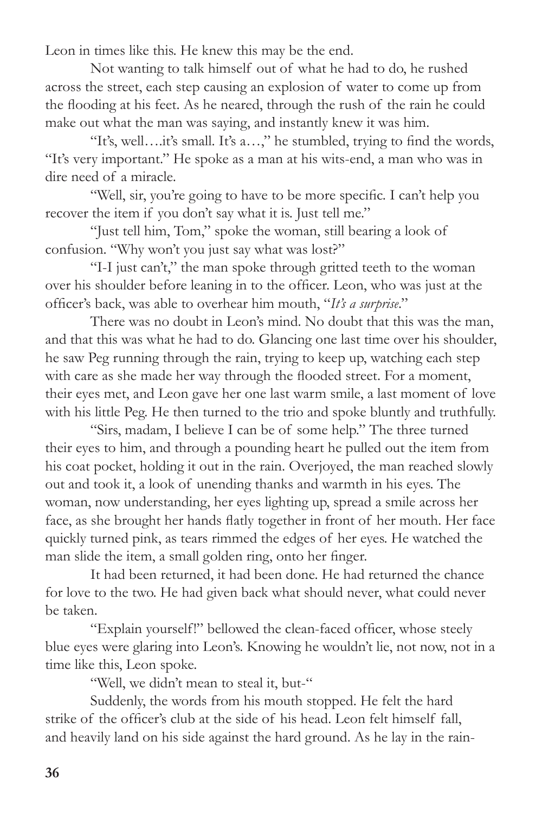Leon in times like this. He knew this may be the end.

Not wanting to talk himself out of what he had to do, he rushed across the street, each step causing an explosion of water to come up from the flooding at his feet. As he neared, through the rush of the rain he could make out what the man was saying, and instantly knew it was him.

"It's, well….it's small. It's a…," he stumbled, trying to find the words, "It's very important." He spoke as a man at his wits-end, a man who was in dire need of a miracle.

"Well, sir, you're going to have to be more specific. I can't help you recover the item if you don't say what it is. Just tell me."

"Just tell him, Tom," spoke the woman, still bearing a look of confusion. "Why won't you just say what was lost?"

"I-I just can't," the man spoke through gritted teeth to the woman over his shoulder before leaning in to the officer. Leon, who was just at the officer's back, was able to overhear him mouth, "*It's a surprise*."

There was no doubt in Leon's mind. No doubt that this was the man, and that this was what he had to do. Glancing one last time over his shoulder, he saw Peg running through the rain, trying to keep up, watching each step with care as she made her way through the flooded street. For a moment, their eyes met, and Leon gave her one last warm smile, a last moment of love with his little Peg. He then turned to the trio and spoke bluntly and truthfully.

"Sirs, madam, I believe I can be of some help." The three turned their eyes to him, and through a pounding heart he pulled out the item from his coat pocket, holding it out in the rain. Overjoyed, the man reached slowly out and took it, a look of unending thanks and warmth in his eyes. The woman, now understanding, her eyes lighting up, spread a smile across her face, as she brought her hands flatly together in front of her mouth. Her face quickly turned pink, as tears rimmed the edges of her eyes. He watched the man slide the item, a small golden ring, onto her finger.

It had been returned, it had been done. He had returned the chance for love to the two. He had given back what should never, what could never be taken.

"Explain yourself!" bellowed the clean-faced officer, whose steely blue eyes were glaring into Leon's. Knowing he wouldn't lie, not now, not in a time like this, Leon spoke.

"Well, we didn't mean to steal it, but-"

Suddenly, the words from his mouth stopped. He felt the hard strike of the officer's club at the side of his head. Leon felt himself fall, and heavily land on his side against the hard ground. As he lay in the rain